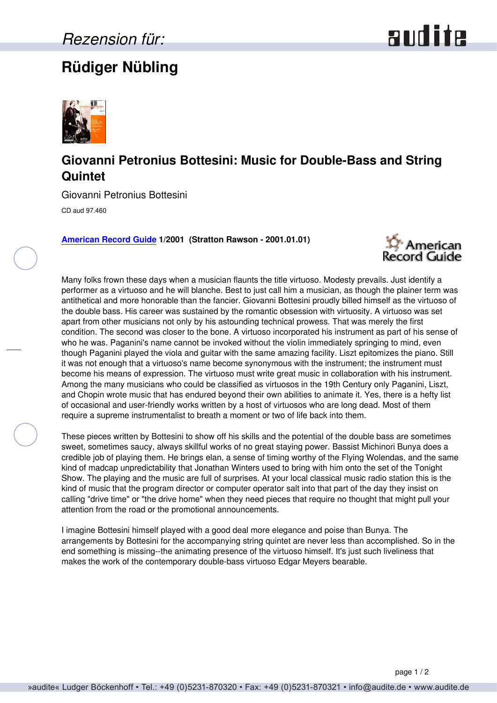## **Rüdiger Nübling**





## **Giovanni Petronius Bottesini: Music for Double-Bass and String Quintet**

Giovanni Petronius Bottesini

CD aud 97.460

**[American Record Guide](http://www.americanrecordguide.com) 1/2001 (Stratton Rawson - 2001.01.01)**



Many folks frown these days when a musician flaunts the title virtuoso. Modesty prevails. Just identify a performer as a virtuoso and he will blanche. Best to just call him a musician, as though the plainer term was antithetical and more honorable than the fancier. Giovanni Bottesini proudly billed himself as the virtuoso of the double bass. His career was sustained by the romantic obsession with virtuosity. A virtuoso was set apart from other musicians not only by his astounding technical prowess. That was merely the first condition. The second was closer to the bone. A virtuoso incorporated his instrument as part of his sense of who he was. Paganini's name cannot be invoked without the violin immediately springing to mind, even though Paganini played the viola and guitar with the same amazing facility. Liszt epitomizes the piano. Still it was not enough that a virtuoso's name become synonymous with the instrument; the instrument must become his means of expression. The virtuoso must write great music in collaboration with his instrument. Among the many musicians who could be classified as virtuosos in the 19th Century only Paganini, Liszt, and Chopin wrote music that has endured beyond their own abilities to animate it. Yes, there is a hefty list of occasional and user-friendly works written by a host of virtuosos who are long dead. Most of them require a supreme instrumentalist to breath a moment or two of life back into them.

These pieces written by Bottesini to show off his skills and the potential of the double bass are sometimes sweet, sometimes saucy, always skillful works of no great staying power. Bassist Michinori Bunya does a credible job of playing them. He brings elan, a sense of timing worthy of the Flying Wolendas, and the same kind of madcap unpredictability that Jonathan Winters used to bring with him onto the set of the Tonight Show. The playing and the music are full of surprises. At your local classical music radio station this is the kind of music that the program director or computer operator salt into that part of the day they insist on calling "drive time" or "the drive home" when they need pieces that require no thought that might pull your attention from the road or the promotional announcements.

I imagine Bottesini himself played with a good deal more elegance and poise than Bunya. The arrangements by Bottesini for the accompanying string quintet are never less than accomplished. So in the end something is missing--the animating presence of the virtuoso himself. It's just such liveliness that makes the work of the contemporary double-bass virtuoso Edgar Meyers bearable.